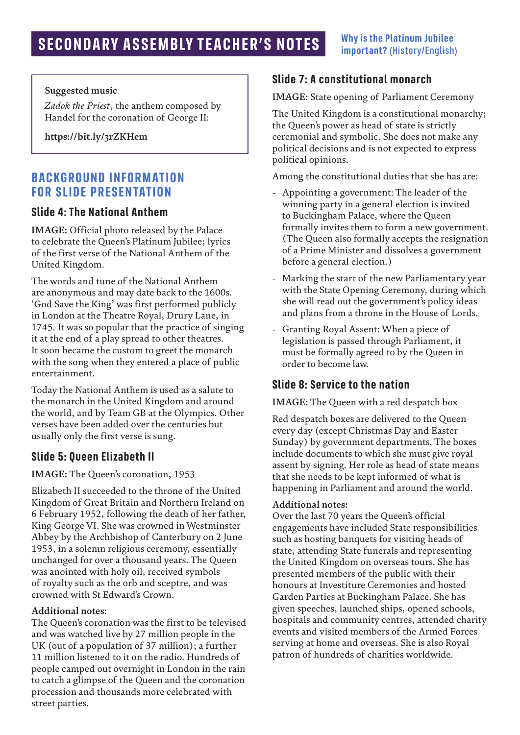#### **Suggested music**

*Zadok the Priest*, the anthem composed by Handel for the coronation of George II:

**https://bit.ly/3rZKHem**

### **BACKGROUND INFORMATION FOR SLIDE PRESENTATION**

#### **Slide 4: The National Anthem**

**IMAGE:** Official photo released by the Palace to celebrate the Queen's Platinum Jubilee; lyrics of the first verse of the National Anthem of the United Kingdom.

The words and tune of the National Anthem are anonymous and may date back to the 1600s. 'God Save the King' was first performed publicly in London at the Theatre Royal, Drury Lane, in 1745. It was so popular that the practice of singing it at the end of a play spread to other theatres. It soon became the custom to greet the monarch with the song when they entered a place of public entertainment.

Today the National Anthem is used as a salute to the monarch in the United Kingdom and around the world, and by Team GB at the Olympics. Other verses have been added over the centuries but usually only the first verse is sung.

#### **Slide 5: Queen Elizabeth II**

#### **IMAGE:** The Queen's coronation, 1953

Elizabeth II succeeded to the throne of the United Kingdom of Great Britain and Northern Ireland on 6 February 1952, following the death of her father, King George VI. She was crowned in Westminster Abbey by the Archbishop of Canterbury on 2 June 1953, in a solemn religious ceremony, essentially unchanged for over a thousand years. The Queen was anointed with holy oil, received symbols of royalty such as the orb and sceptre, and was crowned with St Edward's Crown.

#### **Additional notes:**

The Queen's coronation was the first to be televised and was watched live by 27 million people in the UK (out of a population of 37 million); a further 11 million listened to it on the radio. Hundreds of people camped out overnight in London in the rain to catch a glimpse of the Queen and the coronation procession and thousands more celebrated with street parties.

#### **Slide 7: A constitutional monarch**

**IMAGE:** State opening of Parliament Ceremony

The United Kingdom is a constitutional monarchy; the Queen's power as head of state is strictly ceremonial and symbolic. She does not make any political decisions and is not expected to express political opinions.

Among the constitutional duties that she has are:

- Appointing a government: The leader of the winning party in a general election is invited to Buckingham Palace, where the Queen formally invites them to form a new government. (The Queen also formally accepts the resignation of a Prime Minister and dissolves a government before a general election.)
- Marking the start of the new Parliamentary year with the State Opening Ceremony, during which she will read out the government's policy ideas and plans from a throne in the House of Lords.
- Granting Royal Assent: When a piece of legislation is passed through Parliament, it must be formally agreed to by the Queen in order to become law.

#### **Slide 8: Service to the nation**

**IMAGE:** The Queen with a red despatch box

Red despatch boxes are delivered to the Queen every day (except Christmas Day and Easter Sunday) by government departments. The boxes include documents to which she must give royal assent by signing. Her role as head of state means that she needs to be kept informed of what is happening in Parliament and around the world.

#### **Additional notes:**

Over the last 70 years the Queen's official engagements have included State responsibilities such as hosting banquets for visiting heads of state, attending State funerals and representing the United Kingdom on overseas tours. She has presented members of the public with their honours at Investiture Ceremonies and hosted Garden Parties at Buckingham Palace. She has given speeches, launched ships, opened schools, hospitals and community centres, attended charity events and visited members of the Armed Forces serving at home and overseas. She is also Royal patron of hundreds of charities worldwide.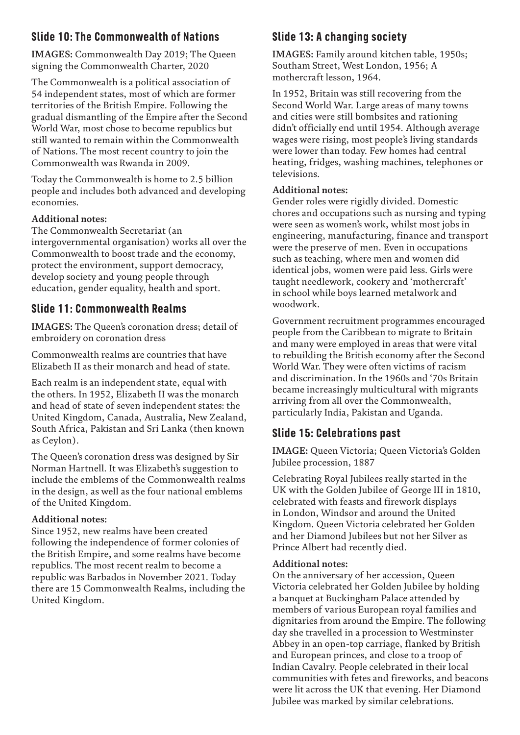# **Slide 10: The Commonwealth of Nations**

**IMAGES:** Commonwealth Day 2019; The Queen signing the Commonwealth Charter, 2020

The Commonwealth is a political association of 54 independent states, most of which are former territories of the British Empire. Following the gradual dismantling of the Empire after the Second World War, most chose to become republics but still wanted to remain within the Commonwealth of Nations. The most recent country to join the Commonwealth was Rwanda in 2009.

Today the Commonwealth is home to 2.5 billion people and includes both advanced and developing economies.

#### **Additional notes:**

The Commonwealth Secretariat (an intergovernmental organisation) works all over the Commonwealth to boost trade and the economy, protect the environment, support democracy, develop society and young people through education, gender equality, health and sport.

## **Slide 11: Commonwealth Realms**

**IMAGES:** The Queen's coronation dress; detail of embroidery on coronation dress

Commonwealth realms are countries that have Elizabeth II as their monarch and head of state.

Each realm is an independent state, equal with the others. In 1952, Elizabeth II was the monarch and head of state of seven independent states: the United Kingdom, Canada, Australia, New Zealand, South Africa, Pakistan and Sri Lanka (then known as Ceylon).

The Queen's coronation dress was designed by Sir Norman Hartnell. It was Elizabeth's suggestion to include the emblems of the Commonwealth realms in the design, as well as the four national emblems of the United Kingdom.

#### **Additional notes:**

Since 1952, new realms have been created following the independence of former colonies of the British Empire, and some realms have become republics. The most recent realm to become a republic was Barbados in November 2021. Today there are 15 Commonwealth Realms, including the United Kingdom.

# **Slide 13: A changing society**

**IMAGES:** Family around kitchen table, 1950s; Southam Street, West London, 1956; A mothercraft lesson, 1964.

In 1952, Britain was still recovering from the Second World War. Large areas of many towns and cities were still bombsites and rationing didn't officially end until 1954. Although average wages were rising, most people's living standards were lower than today. Few homes had central heating, fridges, washing machines, telephones or televisions.

#### **Additional notes:**

Gender roles were rigidly divided. Domestic chores and occupations such as nursing and typing were seen as women's work, whilst most jobs in engineering, manufacturing, finance and transport were the preserve of men. Even in occupations such as teaching, where men and women did identical jobs, women were paid less. Girls were taught needlework, cookery and 'mothercraft' in school while boys learned metalwork and woodwork.

Government recruitment programmes encouraged people from the Caribbean to migrate to Britain and many were employed in areas that were vital to rebuilding the British economy after the Second World War. They were often victims of racism and discrimination. In the 1960s and '70s Britain became increasingly multicultural with migrants arriving from all over the Commonwealth, particularly India, Pakistan and Uganda.

# **Slide 15: Celebrations past**

**IMAGE:** Queen Victoria; Queen Victoria's Golden Jubilee procession, 1887

Celebrating Royal Jubilees really started in the UK with the Golden Jubilee of George III in 1810, celebrated with feasts and firework displays in London, Windsor and around the United Kingdom. Queen Victoria celebrated her Golden and her Diamond Jubilees but not her Silver as Prince Albert had recently died.

#### **Additional notes:**

On the anniversary of her accession, Queen Victoria celebrated her Golden Jubilee by holding a banquet at Buckingham Palace attended by members of various European royal families and dignitaries from around the Empire. The following day she travelled in a procession to Westminster Abbey in an open-top carriage, flanked by British and European princes, and close to a troop of Indian Cavalry. People celebrated in their local communities with fetes and fireworks, and beacons were lit across the UK that evening. Her Diamond Jubilee was marked by similar celebrations.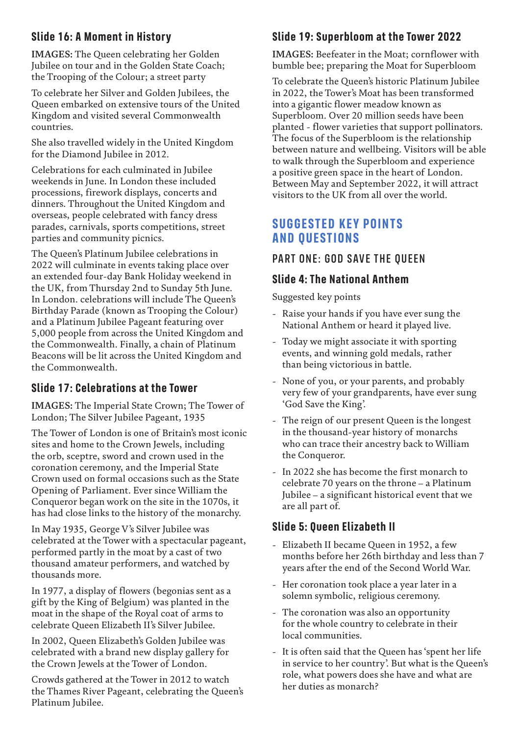# **Slide 16: A Moment in History**

**IMAGES:** The Queen celebrating her Golden Jubilee on tour and in the Golden State Coach; the Trooping of the Colour; a street party

To celebrate her Silver and Golden Jubilees, the Queen embarked on extensive tours of the United Kingdom and visited several Commonwealth countries.

She also travelled widely in the United Kingdom for the Diamond Jubilee in 2012.

Celebrations for each culminated in Jubilee weekends in June. In London these included processions, firework displays, concerts and dinners. Throughout the United Kingdom and overseas, people celebrated with fancy dress parades, carnivals, sports competitions, street parties and community picnics.

The Queen's Platinum Jubilee celebrations in 2022 will culminate in events taking place over an extended four-day Bank Holiday weekend in the UK, from Thursday 2nd to Sunday 5th June. In London. celebrations will include The Queen's Birthday Parade (known as Trooping the Colour) and a Platinum Jubilee Pageant featuring over 5,000 people from across the United Kingdom and the Commonwealth. Finally, a chain of Platinum Beacons will be lit across the United Kingdom and the Commonwealth.

# **Slide 17: Celebrations at the Tower**

**IMAGES:** The Imperial State Crown; The Tower of London; The Silver Jubilee Pageant, 1935

The Tower of London is one of Britain's most iconic sites and home to the Crown Jewels, including the orb, sceptre, sword and crown used in the coronation ceremony, and the Imperial State Crown used on formal occasions such as the State Opening of Parliament. Ever since William the Conqueror began work on the site in the 1070s, it has had close links to the history of the monarchy.

In May 1935, George V's Silver Jubilee was celebrated at the Tower with a spectacular pageant, performed partly in the moat by a cast of two thousand amateur performers, and watched by thousands more.

In 1977, a display of flowers (begonias sent as a gift by the King of Belgium) was planted in the moat in the shape of the Royal coat of arms to celebrate Queen Elizabeth II's Silver Jubilee.

In 2002, Queen Elizabeth's Golden Jubilee was celebrated with a brand new display gallery for the Crown Jewels at the Tower of London.

Crowds gathered at the Tower in 2012 to watch the Thames River Pageant, celebrating the Queen's Platinum Jubilee.

# **Slide 19: Superbloom at the Tower 2022**

**IMAGES:** Beefeater in the Moat; cornflower with bumble bee; preparing the Moat for Superbloom

To celebrate the Queen's historic Platinum Jubilee in 2022, the Tower's Moat has been transformed into a gigantic flower meadow known as Superbloom. Over 20 million seeds have been planted - flower varieties that support pollinators. The focus of the Superbloom is the relationship between nature and wellbeing. Visitors will be able to walk through the Superbloom and experience a positive green space in the heart of London. Between May and September 2022, it will attract visitors to the UK from all over the world.

# **SUGGESTED KEY POINTS AND QUESTIONS**

# PART ONE: GOD SAVE THE QUEEN

## **Slide 4: The National Anthem**

Suggested key points

- Raise your hands if you have ever sung the National Anthem or heard it played live.
- Today we might associate it with sporting events, and winning gold medals, rather than being victorious in battle.
- None of you, or your parents, and probably very few of your grandparents, have ever sung 'God Save the King'.
- The reign of our present Queen is the longest in the thousand-year history of monarchs who can trace their ancestry back to William the Conqueror.
- In 2022 she has become the first monarch to celebrate 70 years on the throne – a Platinum Jubilee – a significant historical event that we are all part of.

# **Slide 5: Queen Elizabeth II**

- Elizabeth II became Queen in 1952, a few months before her 26th birthday and less than 7 years after the end of the Second World War.
- Her coronation took place a year later in a solemn symbolic, religious ceremony.
- The coronation was also an opportunity for the whole country to celebrate in their local communities.
- It is often said that the Queen has 'spent her life in service to her country'. But what is the Queen's role, what powers does she have and what are her duties as monarch?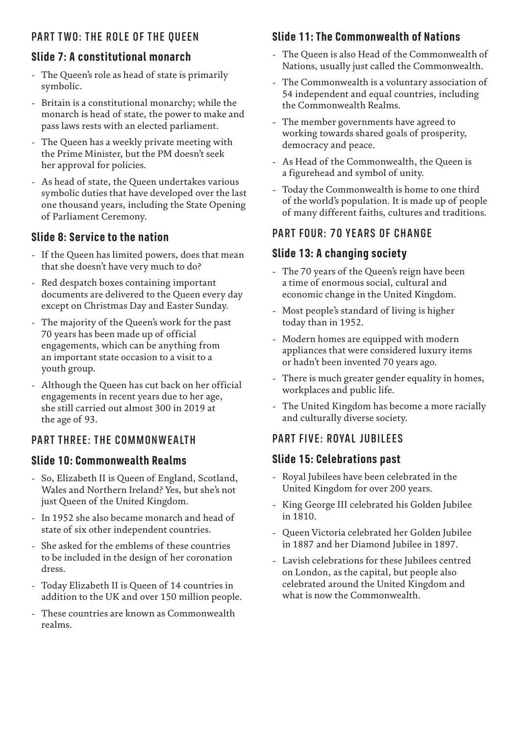### PART TWO: THE ROLE OF THE QUEEN

# **Slide 7: A constitutional monarch**

- The Queen's role as head of state is primarily symbolic.
- Britain is a constitutional monarchy; while the monarch is head of state, the power to make and pass laws rests with an elected parliament.
- The Queen has a weekly private meeting with the Prime Minister, but the PM doesn't seek her approval for policies.
- As head of state, the Queen undertakes various symbolic duties that have developed over the last one thousand years, including the State Opening of Parliament Ceremony.

## **Slide 8: Service to the nation**

- If the Queen has limited powers, does that mean that she doesn't have very much to do?
- Red despatch boxes containing important documents are delivered to the Queen every day except on Christmas Day and Easter Sunday.
- The majority of the Queen's work for the past 70 years has been made up of official engagements, which can be anything from an important state occasion to a visit to a youth group.
- Although the Queen has cut back on her official engagements in recent years due to her age, she still carried out almost 300 in 2019 at the age of 93.

## PART THREE: THE COMMONWEALTH

## **Slide 10: Commonwealth Realms**

- So, Elizabeth II is Queen of England, Scotland, Wales and Northern Ireland? Yes, but she's not just Queen of the United Kingdom.
- In 1952 she also became monarch and head of state of six other independent countries.
- She asked for the emblems of these countries to be included in the design of her coronation dress.
- Today Elizabeth II is Queen of 14 countries in addition to the UK and over 150 million people.
- These countries are known as Commonwealth realms.

# **Slide 11: The Commonwealth of Nations**

- The Queen is also Head of the Commonwealth of Nations, usually just called the Commonwealth.
- The Commonwealth is a voluntary association of 54 independent and equal countries, including the Commonwealth Realms.
- The member governments have agreed to working towards shared goals of prosperity, democracy and peace.
- As Head of the Commonwealth, the Queen is a figurehead and symbol of unity.
- Today the Commonwealth is home to one third of the world's population. It is made up of people of many different faiths, cultures and traditions.

# PART FOUR: 70 YEARS OF CHANGE

# **Slide 13: A changing society**

- The 70 years of the Queen's reign have been a time of enormous social, cultural and economic change in the United Kingdom.
- Most people's standard of living is higher today than in 1952.
- Modern homes are equipped with modern appliances that were considered luxury items or hadn't been invented 70 years ago.
- There is much greater gender equality in homes, workplaces and public life.
- The United Kingdom has become a more racially and culturally diverse society.

# PART FIVE: ROYAL JUBILEES

## **Slide 15: Celebrations past**

- Royal Jubilees have been celebrated in the United Kingdom for over 200 years.
- King George III celebrated his Golden Jubilee in 1810.
- Queen Victoria celebrated her Golden Jubilee in 1887 and her Diamond Jubilee in 1897.
- Lavish celebrations for these Jubilees centred on London, as the capital, but people also celebrated around the United Kingdom and what is now the Commonwealth.